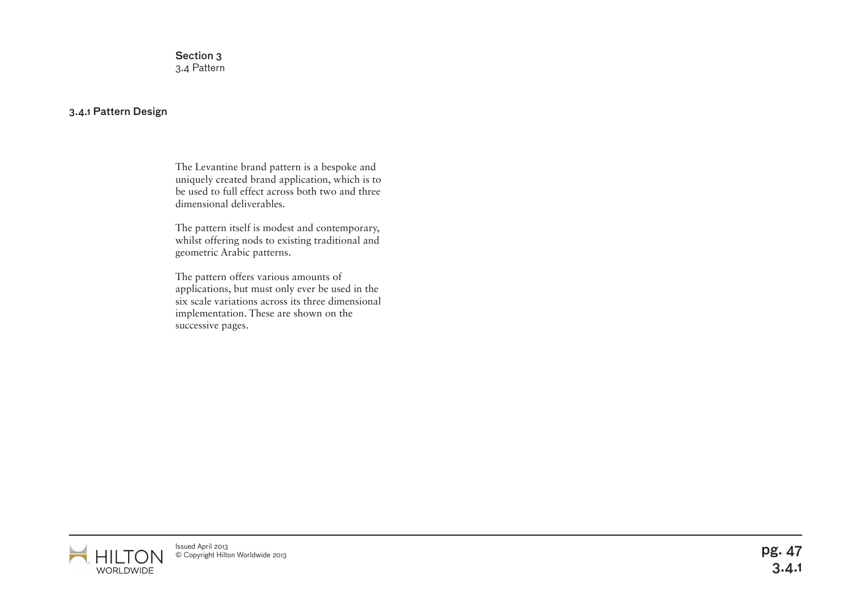Section 3 3.4 Pattern

## 3.4.1 Pattern Design

The Levantine brand pattern is a bespoke and uniquely created brand application, which is to be used to full effect across both two and three dimensional deliverables.

The pattern itself is modest and contemporary, whilst offering nods to existing traditional and geometric Arabic patterns.

The pattern offers various amounts of applications, but must only ever be used in the six scale variations across its three dimensional implementation. These are shown on the successive pages.

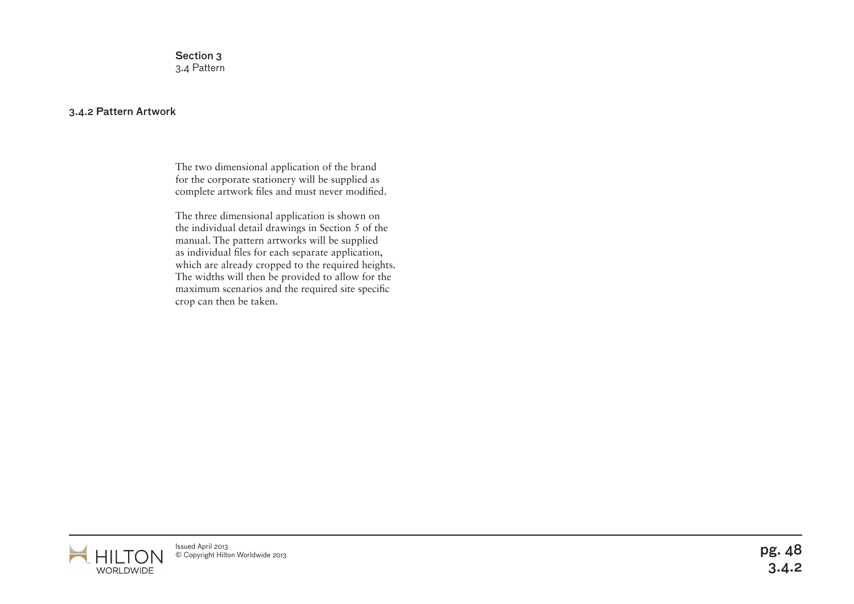Section 3 3.4 Pattern

## 3.4.2 Pattern Artwork

The two dimensional application of the brand for the corporate stationery will be supplied as complete artwork files and must never modified.

The three dimensional application is shown on the individual detail drawings in Section 5 of the manual. The pattern artworks will be supplied as individual files for each separate application, which are already cropped to the required heights. The widths will then be provided to allow for the maximum scenarios and the required site specific crop can then be taken.

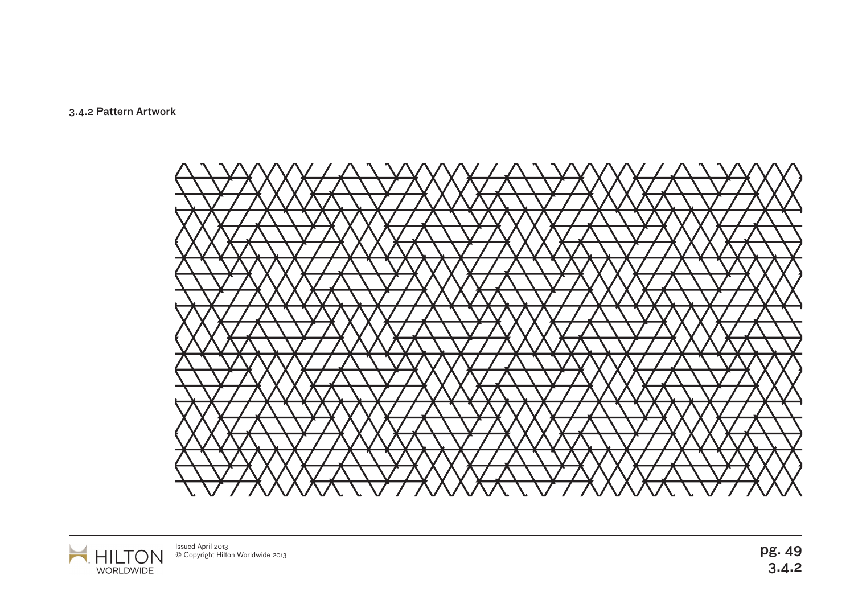3.4.2 Pattern Artwork





Issued April 2013<br>© Copyright Hilton Worldwide 2013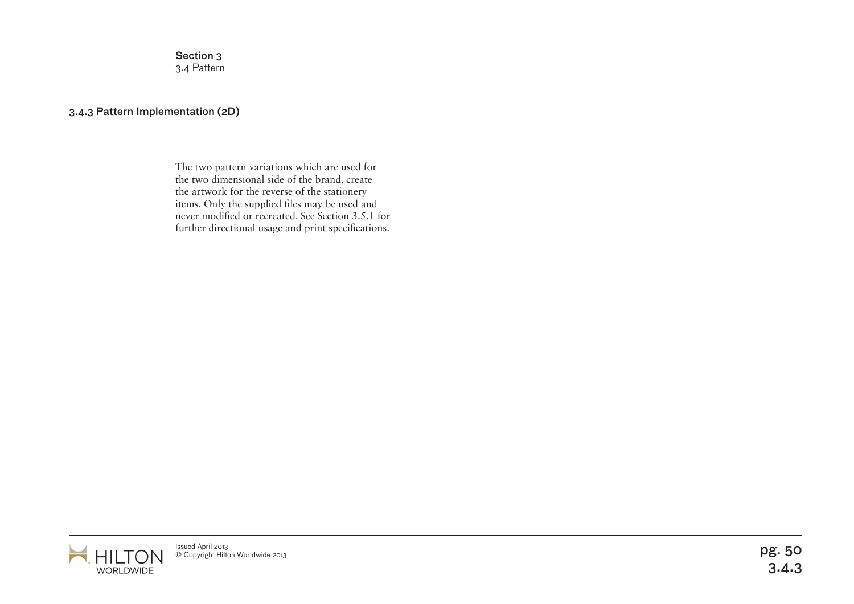Section 3 3.4 Pattern

## 3.4.3 Pattern Implementation (2D)

The two pattern variations which are used for the two dimensional side of the brand, create the artwork for the reverse of the stationery items. Only the supplied files may be used and never modified or recreated. See Section 3.5.1 for further directional usage and print specifications.